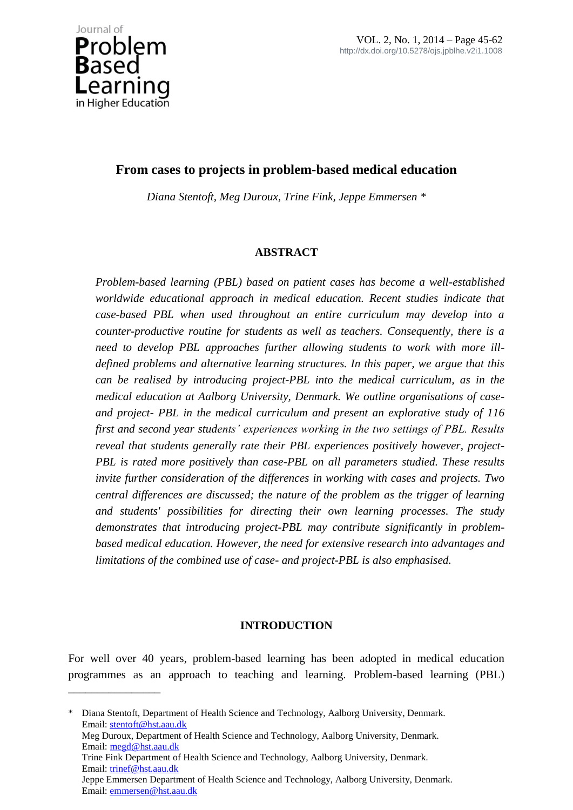\_\_\_\_\_\_\_\_\_\_\_\_\_\_\_\_

# **From cases to projects in problem-based medical education**

*Diana Stentoft, Meg Duroux, Trine Fink, Jeppe Emmersen \**

## **ABSTRACT**

*Problem-based learning (PBL) based on patient cases has become a well-established worldwide educational approach in medical education. Recent studies indicate that case-based PBL when used throughout an entire curriculum may develop into a counter-productive routine for students as well as teachers. Consequently, there is a need to develop PBL approaches further allowing students to work with more illdefined problems and alternative learning structures. In this paper, we argue that this can be realised by introducing project-PBL into the medical curriculum, as in the medical education at Aalborg University, Denmark. We outline organisations of caseand project- PBL in the medical curriculum and present an explorative study of 116 first and second year students' experiences working in the two settings of PBL. Results reveal that students generally rate their PBL experiences positively however, project-PBL is rated more positively than case-PBL on all parameters studied. These results invite further consideration of the differences in working with cases and projects. Two central differences are discussed; the nature of the problem as the trigger of learning and students' possibilities for directing their own learning processes. The study demonstrates that introducing project-PBL may contribute significantly in problembased medical education. However, the need for extensive research into advantages and limitations of the combined use of case- and project-PBL is also emphasised.* 

## **INTRODUCTION**

For well over 40 years, problem-based learning has been adopted in medical education programmes as an approach to teaching and learning. Problem-based learning (PBL)

\* Diana Stentoft, Department of Health Science and Technology, Aalborg University, Denmark. Email: stentoft@hst.aau.dk Meg Duroux, Department of Health Science and Technology, Aalborg University, Denmark. Email: megd@hst.aau.dk Trine Fink Department of Health Science and Technology, Aalborg University, Denmark. Email: trinef@hst.aau.dk Jeppe Emmersen Department of Health Science and Technology, Aalborg University, Denmark. Email: emmersen@hst.aau.dk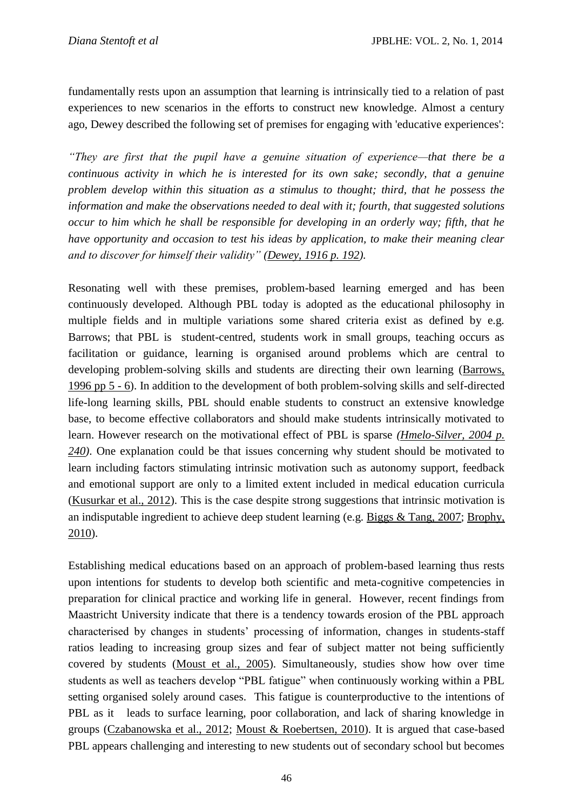fundamentally rests upon an assumption that learning is intrinsically tied to a relation of past experiences to new scenarios in the efforts to construct new knowledge. Almost a century ago, Dewey described the following set of premises for engaging with 'educative experiences':

*"They are first that the pupil have a genuine situation of experience—that there be a continuous activity in which he is interested for its own sake; secondly, that a genuine problem develop within this situation as a stimulus to thought; third, that he possess the information and make the observations needed to deal with it; fourth, that suggested solutions occur to him which he shall be responsible for developing in an orderly way; fifth, that he have opportunity and occasion to test his ideas by application, to make their meaning clear and to discover for himself their validity" [\(Dewey, 1916 p. 192\)](file:///C:/Users/jba/AppData/Local/Microsoft/Windows/Temporary%20Internet%20Files/Content.IE5/US06KKC1/652-2961-1-CE.docx%23_ENREF_16).*

Resonating well with these premises, problem-based learning emerged and has been continuously developed. Although PBL today is adopted as the educational philosophy in multiple fields and in multiple variations some shared criteria exist as defined by e.g. Barrows; that PBL is student-centred, students work in small groups, teaching occurs as facilitation or guidance, learning is organised around problems which are central to developing problem-solving skills and students are directing their own learning [\(Barrows,](file:///C:/Users/jba/AppData/Local/Microsoft/Windows/Temporary%20Internet%20Files/Content.IE5/US06KKC1/652-2961-1-CE.docx%23_ENREF_6)  [1996 pp 5 -](file:///C:/Users/jba/AppData/Local/Microsoft/Windows/Temporary%20Internet%20Files/Content.IE5/US06KKC1/652-2961-1-CE.docx%23_ENREF_6) 6). In addition to the development of both problem-solving skills and self-directed life-long learning skills, PBL should enable students to construct an extensive knowledge base, to become effective collaborators and should make students intrinsically motivated to learn. However research on the motivational effect of PBL is sparse *[\(Hmelo-Silver, 2004 p.](file:///C:/Users/jba/AppData/Local/Microsoft/Windows/Temporary%20Internet%20Files/Content.IE5/US06KKC1/652-2961-1-CE.docx%23_ENREF_22)  [240\)](file:///C:/Users/jba/AppData/Local/Microsoft/Windows/Temporary%20Internet%20Files/Content.IE5/US06KKC1/652-2961-1-CE.docx%23_ENREF_22)*. One explanation could be that issues concerning why student should be motivated to learn including factors stimulating intrinsic motivation such as autonomy support, feedback and emotional support are only to a limited extent included in medical education curricula [\(Kusurkar et al., 2012\)](file:///C:/Users/jba/AppData/Local/Microsoft/Windows/Temporary%20Internet%20Files/Content.IE5/US06KKC1/652-2961-1-CE.docx%23_ENREF_31). This is the case despite strong suggestions that intrinsic motivation is an indisputable ingredient to achieve deep student learning (e.g. [Biggs & Tang, 2007;](file:///C:/Users/jba/AppData/Local/Microsoft/Windows/Temporary%20Internet%20Files/Content.IE5/US06KKC1/652-2961-1-CE.docx%23_ENREF_7) [Brophy,](file:///C:/Users/jba/AppData/Local/Microsoft/Windows/Temporary%20Internet%20Files/Content.IE5/US06KKC1/652-2961-1-CE.docx%23_ENREF_10)  [2010\)](file:///C:/Users/jba/AppData/Local/Microsoft/Windows/Temporary%20Internet%20Files/Content.IE5/US06KKC1/652-2961-1-CE.docx%23_ENREF_10).

Establishing medical educations based on an approach of problem-based learning thus rests upon intentions for students to develop both scientific and meta-cognitive competencies in preparation for clinical practice and working life in general. However, recent findings from Maastricht University indicate that there is a tendency towards erosion of the PBL approach characterised by changes in students' processing of information, changes in students-staff ratios leading to increasing group sizes and fear of subject matter not being sufficiently covered by students [\(Moust et al., 2005\)](file:///C:/Users/jba/AppData/Local/Microsoft/Windows/Temporary%20Internet%20Files/Content.IE5/US06KKC1/652-2961-1-CE.docx%23_ENREF_35). Simultaneously, studies show how over time students as well as teachers develop "PBL fatigue" when continuously working within a PBL setting organised solely around cases. This fatigue is counterproductive to the intentions of PBL as it leads to surface learning, poor collaboration, and lack of sharing knowledge in groups [\(Czabanowska et al., 2012;](file:///C:/Users/jba/AppData/Local/Microsoft/Windows/Temporary%20Internet%20Files/Content.IE5/US06KKC1/652-2961-1-CE.docx%23_ENREF_12) [Moust & Roebertsen, 2010\)](file:///C:/Users/jba/AppData/Local/Microsoft/Windows/Temporary%20Internet%20Files/Content.IE5/US06KKC1/652-2961-1-CE.docx%23_ENREF_34). It is argued that case-based PBL appears challenging and interesting to new students out of secondary school but becomes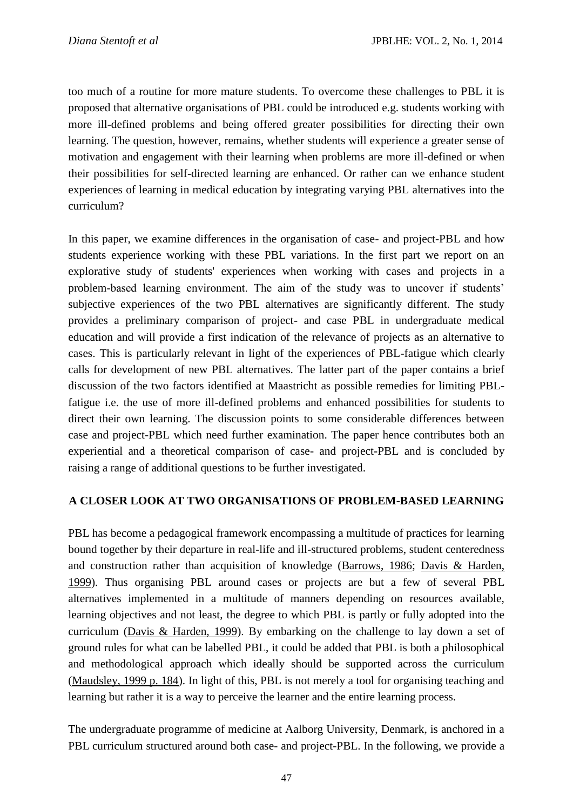too much of a routine for more mature students. To overcome these challenges to PBL it is proposed that alternative organisations of PBL could be introduced e.g. students working with more ill-defined problems and being offered greater possibilities for directing their own learning. The question, however, remains, whether students will experience a greater sense of motivation and engagement with their learning when problems are more ill-defined or when their possibilities for self-directed learning are enhanced. Or rather can we enhance student experiences of learning in medical education by integrating varying PBL alternatives into the curriculum?

In this paper, we examine differences in the organisation of case- and project-PBL and how students experience working with these PBL variations. In the first part we report on an explorative study of students' experiences when working with cases and projects in a problem-based learning environment. The aim of the study was to uncover if students' subjective experiences of the two PBL alternatives are significantly different. The study provides a preliminary comparison of project- and case PBL in undergraduate medical education and will provide a first indication of the relevance of projects as an alternative to cases. This is particularly relevant in light of the experiences of PBL-fatigue which clearly calls for development of new PBL alternatives. The latter part of the paper contains a brief discussion of the two factors identified at Maastricht as possible remedies for limiting PBLfatigue i.e. the use of more ill-defined problems and enhanced possibilities for students to direct their own learning. The discussion points to some considerable differences between case and project-PBL which need further examination. The paper hence contributes both an experiential and a theoretical comparison of case- and project-PBL and is concluded by raising a range of additional questions to be further investigated.

### **A CLOSER LOOK AT TWO ORGANISATIONS OF PROBLEM-BASED LEARNING**

PBL has become a pedagogical framework encompassing a multitude of practices for learning bound together by their departure in real-life and ill-structured problems, student centeredness and construction rather than acquisition of knowledge [\(Barrows, 1986;](file:///C:/Users/jba/AppData/Local/Microsoft/Windows/Temporary%20Internet%20Files/Content.IE5/US06KKC1/652-2961-1-CE.docx%23_ENREF_5) [Davis & Harden,](file:///C:/Users/jba/AppData/Local/Microsoft/Windows/Temporary%20Internet%20Files/Content.IE5/US06KKC1/652-2961-1-CE.docx%23_ENREF_14)  [1999\)](file:///C:/Users/jba/AppData/Local/Microsoft/Windows/Temporary%20Internet%20Files/Content.IE5/US06KKC1/652-2961-1-CE.docx%23_ENREF_14). Thus organising PBL around cases or projects are but a few of several PBL alternatives implemented in a multitude of manners depending on resources available, learning objectives and not least, the degree to which PBL is partly or fully adopted into the curriculum [\(Davis & Harden, 1999\)](file:///C:/Users/jba/AppData/Local/Microsoft/Windows/Temporary%20Internet%20Files/Content.IE5/US06KKC1/652-2961-1-CE.docx%23_ENREF_14). By embarking on the challenge to lay down a set of ground rules for what can be labelled PBL, it could be added that PBL is both a philosophical and methodological approach which ideally should be supported across the curriculum [\(Maudsley, 1999 p. 184\)](file:///C:/Users/jba/AppData/Local/Microsoft/Windows/Temporary%20Internet%20Files/Content.IE5/US06KKC1/652-2961-1-CE.docx%23_ENREF_32). In light of this, PBL is not merely a tool for organising teaching and learning but rather it is a way to perceive the learner and the entire learning process.

The undergraduate programme of medicine at Aalborg University, Denmark, is anchored in a PBL curriculum structured around both case- and project-PBL. In the following, we provide a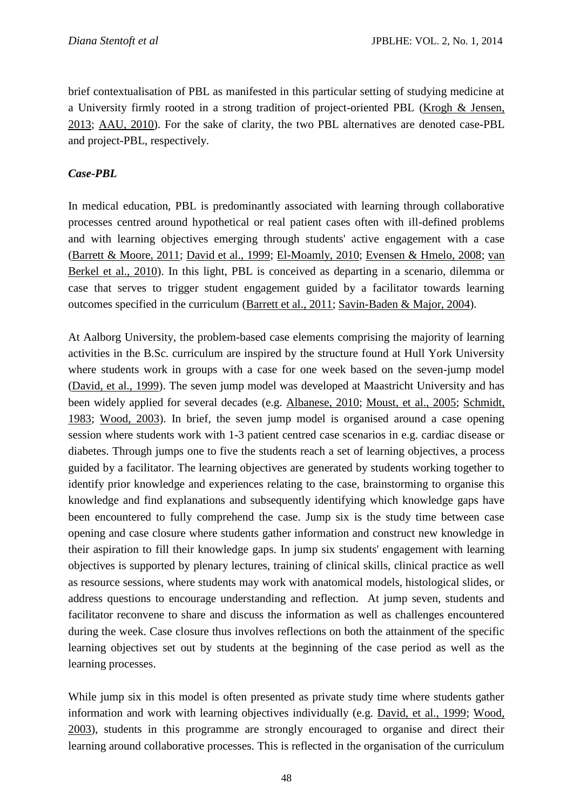brief contextualisation of PBL as manifested in this particular setting of studying medicine at a University firmly rooted in a strong tradition of project-oriented PBL [\(Krogh & Jensen,](file:///C:/Users/jba/AppData/Local/Microsoft/Windows/Temporary%20Internet%20Files/Content.IE5/US06KKC1/652-2961-1-CE.docx%23_ENREF_29)  [2013;](file:///C:/Users/jba/AppData/Local/Microsoft/Windows/Temporary%20Internet%20Files/Content.IE5/US06KKC1/652-2961-1-CE.docx%23_ENREF_29) [AAU, 2010\)](file:///C:/Users/jba/AppData/Local/Microsoft/Windows/Temporary%20Internet%20Files/Content.IE5/US06KKC1/652-2961-1-CE.docx%23_ENREF_48). For the sake of clarity, the two PBL alternatives are denoted case-PBL and project-PBL, respectively.

## *Case-PBL*

In medical education, PBL is predominantly associated with learning through collaborative processes centred around hypothetical or real patient cases often with ill-defined problems and with learning objectives emerging through students' active engagement with a case [\(Barrett & Moore, 2011;](file:///C:/Users/jba/AppData/Local/Microsoft/Windows/Temporary%20Internet%20Files/Content.IE5/US06KKC1/652-2961-1-CE.docx%23_ENREF_4) [David et al., 1999;](file:///C:/Users/jba/AppData/Local/Microsoft/Windows/Temporary%20Internet%20Files/Content.IE5/US06KKC1/652-2961-1-CE.docx%23_ENREF_13) [El-Moamly, 2010;](file:///C:/Users/jba/AppData/Local/Microsoft/Windows/Temporary%20Internet%20Files/Content.IE5/US06KKC1/652-2961-1-CE.docx%23_ENREF_18) [Evensen & Hmelo, 2008;](file:///C:/Users/jba/AppData/Local/Microsoft/Windows/Temporary%20Internet%20Files/Content.IE5/US06KKC1/652-2961-1-CE.docx%23_ENREF_20) [van](file:///C:/Users/jba/AppData/Local/Microsoft/Windows/Temporary%20Internet%20Files/Content.IE5/US06KKC1/652-2961-1-CE.docx%23_ENREF_45)  [Berkel et al., 2010\)](file:///C:/Users/jba/AppData/Local/Microsoft/Windows/Temporary%20Internet%20Files/Content.IE5/US06KKC1/652-2961-1-CE.docx%23_ENREF_45). In this light, PBL is conceived as departing in a scenario, dilemma or case that serves to trigger student engagement guided by a facilitator towards learning outcomes specified in the curriculum [\(Barrett et al., 2011;](file:///C:/Users/jba/AppData/Local/Microsoft/Windows/Temporary%20Internet%20Files/Content.IE5/US06KKC1/652-2961-1-CE.docx%23_ENREF_3) [Savin-Baden & Major, 2004\)](file:///C:/Users/jba/AppData/Local/Microsoft/Windows/Temporary%20Internet%20Files/Content.IE5/US06KKC1/652-2961-1-CE.docx%23_ENREF_40).

At Aalborg University, the problem-based case elements comprising the majority of learning activities in the B.Sc. curriculum are inspired by the structure found at Hull York University where students work in groups with a case for one week based on the seven-jump model [\(David, et al., 1999\)](file:///C:/Users/jba/AppData/Local/Microsoft/Windows/Temporary%20Internet%20Files/Content.IE5/US06KKC1/652-2961-1-CE.docx%23_ENREF_13). The seven jump model was developed at Maastricht University and has been widely applied for several decades (e.g. [Albanese, 2010;](file:///C:/Users/jba/AppData/Local/Microsoft/Windows/Temporary%20Internet%20Files/Content.IE5/US06KKC1/652-2961-1-CE.docx%23_ENREF_1) [Moust, et al., 2005;](file:///C:/Users/jba/AppData/Local/Microsoft/Windows/Temporary%20Internet%20Files/Content.IE5/US06KKC1/652-2961-1-CE.docx%23_ENREF_35) [Schmidt,](file:///C:/Users/jba/AppData/Local/Microsoft/Windows/Temporary%20Internet%20Files/Content.IE5/US06KKC1/652-2961-1-CE.docx%23_ENREF_42)  [1983;](file:///C:/Users/jba/AppData/Local/Microsoft/Windows/Temporary%20Internet%20Files/Content.IE5/US06KKC1/652-2961-1-CE.docx%23_ENREF_42) [Wood, 2003\)](file:///C:/Users/jba/AppData/Local/Microsoft/Windows/Temporary%20Internet%20Files/Content.IE5/US06KKC1/652-2961-1-CE.docx%23_ENREF_46). In brief, the seven jump model is organised around a case opening session where students work with 1-3 patient centred case scenarios in e.g. cardiac disease or diabetes. Through jumps one to five the students reach a set of learning objectives, a process guided by a facilitator. The learning objectives are generated by students working together to identify prior knowledge and experiences relating to the case, brainstorming to organise this knowledge and find explanations and subsequently identifying which knowledge gaps have been encountered to fully comprehend the case. Jump six is the study time between case opening and case closure where students gather information and construct new knowledge in their aspiration to fill their knowledge gaps. In jump six students' engagement with learning objectives is supported by plenary lectures, training of clinical skills, clinical practice as well as resource sessions, where students may work with anatomical models, histological slides, or address questions to encourage understanding and reflection. At jump seven, students and facilitator reconvene to share and discuss the information as well as challenges encountered during the week. Case closure thus involves reflections on both the attainment of the specific learning objectives set out by students at the beginning of the case period as well as the learning processes.

While jump six in this model is often presented as private study time where students gather information and work with learning objectives individually (e.g. [David, et al., 1999;](file:///C:/Users/jba/AppData/Local/Microsoft/Windows/Temporary%20Internet%20Files/Content.IE5/US06KKC1/652-2961-1-CE.docx%23_ENREF_13) [Wood,](file:///C:/Users/jba/AppData/Local/Microsoft/Windows/Temporary%20Internet%20Files/Content.IE5/US06KKC1/652-2961-1-CE.docx%23_ENREF_46)  [2003\)](file:///C:/Users/jba/AppData/Local/Microsoft/Windows/Temporary%20Internet%20Files/Content.IE5/US06KKC1/652-2961-1-CE.docx%23_ENREF_46), students in this programme are strongly encouraged to organise and direct their learning around collaborative processes. This is reflected in the organisation of the curriculum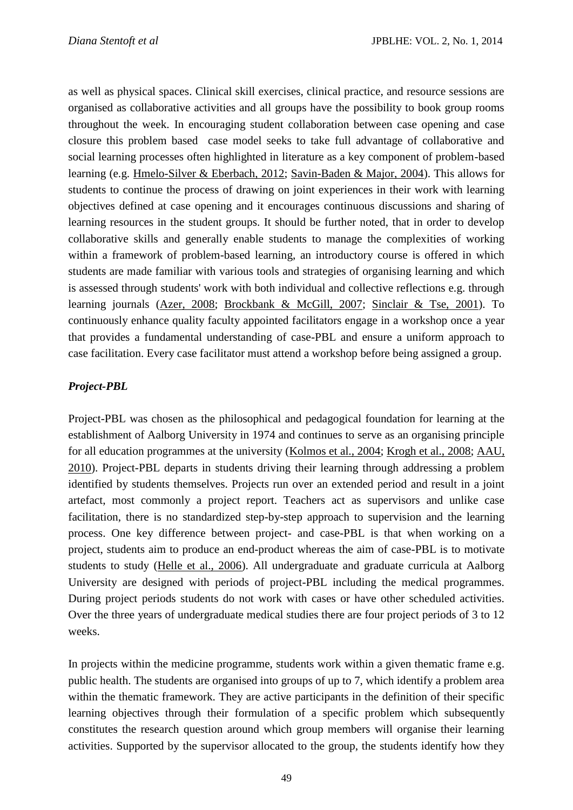as well as physical spaces. Clinical skill exercises, clinical practice, and resource sessions are organised as collaborative activities and all groups have the possibility to book group rooms throughout the week. In encouraging student collaboration between case opening and case closure this problem based case model seeks to take full advantage of collaborative and social learning processes often highlighted in literature as a key component of problem-based learning (e.g. [Hmelo-Silver & Eberbach, 2012;](file:///C:/Users/jba/AppData/Local/Microsoft/Windows/Temporary%20Internet%20Files/Content.IE5/US06KKC1/652-2961-1-CE.docx%23_ENREF_23) [Savin-Baden & Major, 2004\)](file:///C:/Users/jba/AppData/Local/Microsoft/Windows/Temporary%20Internet%20Files/Content.IE5/US06KKC1/652-2961-1-CE.docx%23_ENREF_40). This allows for students to continue the process of drawing on joint experiences in their work with learning objectives defined at case opening and it encourages continuous discussions and sharing of learning resources in the student groups. It should be further noted, that in order to develop collaborative skills and generally enable students to manage the complexities of working within a framework of problem-based learning, an introductory course is offered in which students are made familiar with various tools and strategies of organising learning and which is assessed through students' work with both individual and collective reflections e.g. through learning journals [\(Azer, 2008;](file:///C:/Users/jba/AppData/Local/Microsoft/Windows/Temporary%20Internet%20Files/Content.IE5/US06KKC1/652-2961-1-CE.docx%23_ENREF_2) [Brockbank & McGill, 2007;](file:///C:/Users/jba/AppData/Local/Microsoft/Windows/Temporary%20Internet%20Files/Content.IE5/US06KKC1/652-2961-1-CE.docx%23_ENREF_9) [Sinclair & Tse, 2001\)](file:///C:/Users/jba/AppData/Local/Microsoft/Windows/Temporary%20Internet%20Files/Content.IE5/US06KKC1/652-2961-1-CE.docx%23_ENREF_43). To continuously enhance quality faculty appointed facilitators engage in a workshop once a year that provides a fundamental understanding of case-PBL and ensure a uniform approach to case facilitation. Every case facilitator must attend a workshop before being assigned a group.

## *Project-PBL*

Project-PBL was chosen as the philosophical and pedagogical foundation for learning at the establishment of Aalborg University in 1974 and continues to serve as an organising principle for all education programmes at the university [\(Kolmos et al., 2004;](file:///C:/Users/jba/AppData/Local/Microsoft/Windows/Temporary%20Internet%20Files/Content.IE5/US06KKC1/652-2961-1-CE.docx%23_ENREF_27) [Krogh et al., 2008;](file:///C:/Users/jba/AppData/Local/Microsoft/Windows/Temporary%20Internet%20Files/Content.IE5/US06KKC1/652-2961-1-CE.docx%23_ENREF_28) [AAU,](file:///C:/Users/jba/AppData/Local/Microsoft/Windows/Temporary%20Internet%20Files/Content.IE5/US06KKC1/652-2961-1-CE.docx%23_ENREF_48)  [2010\)](file:///C:/Users/jba/AppData/Local/Microsoft/Windows/Temporary%20Internet%20Files/Content.IE5/US06KKC1/652-2961-1-CE.docx%23_ENREF_48). Project-PBL departs in students driving their learning through addressing a problem identified by students themselves. Projects run over an extended period and result in a joint artefact, most commonly a project report. Teachers act as supervisors and unlike case facilitation, there is no standardized step-by-step approach to supervision and the learning process. One key difference between project- and case-PBL is that when working on a project, students aim to produce an end-product whereas the aim of case-PBL is to motivate students to study [\(Helle et al., 2006\)](file:///C:/Users/jba/AppData/Local/Microsoft/Windows/Temporary%20Internet%20Files/Content.IE5/US06KKC1/652-2961-1-CE.docx%23_ENREF_21). All undergraduate and graduate curricula at Aalborg University are designed with periods of project-PBL including the medical programmes. During project periods students do not work with cases or have other scheduled activities. Over the three years of undergraduate medical studies there are four project periods of 3 to 12 weeks.

In projects within the medicine programme, students work within a given thematic frame e.g. public health. The students are organised into groups of up to 7, which identify a problem area within the thematic framework. They are active participants in the definition of their specific learning objectives through their formulation of a specific problem which subsequently constitutes the research question around which group members will organise their learning activities. Supported by the supervisor allocated to the group, the students identify how they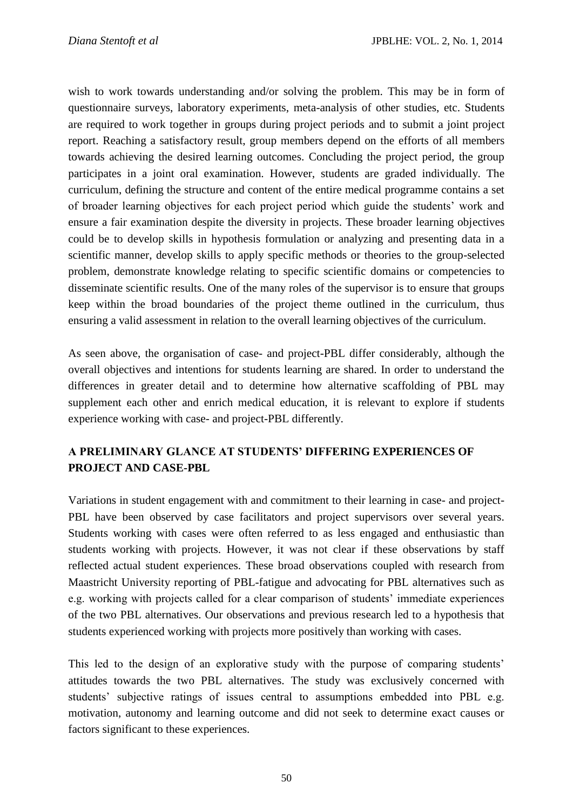wish to work towards understanding and/or solving the problem. This may be in form of questionnaire surveys, laboratory experiments, meta-analysis of other studies, etc. Students are required to work together in groups during project periods and to submit a joint project report. Reaching a satisfactory result, group members depend on the efforts of all members towards achieving the desired learning outcomes. Concluding the project period, the group participates in a joint oral examination. However, students are graded individually. The curriculum, defining the structure and content of the entire medical programme contains a set of broader learning objectives for each project period which guide the students' work and ensure a fair examination despite the diversity in projects. These broader learning objectives could be to develop skills in hypothesis formulation or analyzing and presenting data in a scientific manner, develop skills to apply specific methods or theories to the group-selected problem, demonstrate knowledge relating to specific scientific domains or competencies to disseminate scientific results. One of the many roles of the supervisor is to ensure that groups keep within the broad boundaries of the project theme outlined in the curriculum, thus ensuring a valid assessment in relation to the overall learning objectives of the curriculum.

As seen above, the organisation of case- and project-PBL differ considerably, although the overall objectives and intentions for students learning are shared. In order to understand the differences in greater detail and to determine how alternative scaffolding of PBL may supplement each other and enrich medical education, it is relevant to explore if students experience working with case- and project-PBL differently.

## **A PRELIMINARY GLANCE AT STUDENTS' DIFFERING EXPERIENCES OF PROJECT AND CASE-PBL**

Variations in student engagement with and commitment to their learning in case- and project-PBL have been observed by case facilitators and project supervisors over several years. Students working with cases were often referred to as less engaged and enthusiastic than students working with projects. However, it was not clear if these observations by staff reflected actual student experiences. These broad observations coupled with research from Maastricht University reporting of PBL-fatigue and advocating for PBL alternatives such as e.g. working with projects called for a clear comparison of students' immediate experiences of the two PBL alternatives. Our observations and previous research led to a hypothesis that students experienced working with projects more positively than working with cases.

This led to the design of an explorative study with the purpose of comparing students' attitudes towards the two PBL alternatives. The study was exclusively concerned with students' subjective ratings of issues central to assumptions embedded into PBL e.g. motivation, autonomy and learning outcome and did not seek to determine exact causes or factors significant to these experiences.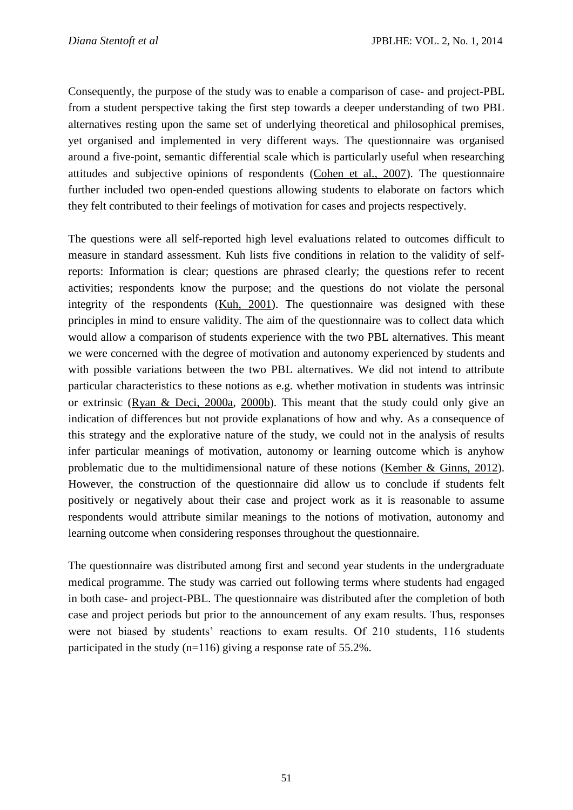Consequently, the purpose of the study was to enable a comparison of case- and project-PBL from a student perspective taking the first step towards a deeper understanding of two PBL alternatives resting upon the same set of underlying theoretical and philosophical premises, yet organised and implemented in very different ways. The questionnaire was organised around a five-point, semantic differential scale which is particularly useful when researching attitudes and subjective opinions of respondents [\(Cohen et al., 2007\)](file:///C:/Users/jba/AppData/Local/Microsoft/Windows/Temporary%20Internet%20Files/Content.IE5/US06KKC1/652-2961-1-CE.docx%23_ENREF_11). The questionnaire further included two open-ended questions allowing students to elaborate on factors which they felt contributed to their feelings of motivation for cases and projects respectively.

The questions were all self-reported high level evaluations related to outcomes difficult to measure in standard assessment. Kuh lists five conditions in relation to the validity of selfreports: Information is clear; questions are phrased clearly; the questions refer to recent activities; respondents know the purpose; and the questions do not violate the personal integrity of the respondents [\(Kuh, 2001\)](file:///C:/Users/jba/AppData/Local/Microsoft/Windows/Temporary%20Internet%20Files/Content.IE5/US06KKC1/652-2961-1-CE.docx%23_ENREF_30). The questionnaire was designed with these principles in mind to ensure validity. The aim of the questionnaire was to collect data which would allow a comparison of students experience with the two PBL alternatives. This meant we were concerned with the degree of motivation and autonomy experienced by students and with possible variations between the two PBL alternatives. We did not intend to attribute particular characteristics to these notions as e.g. whether motivation in students was intrinsic or extrinsic [\(Ryan & Deci, 2000a,](file:///C:/Users/jba/AppData/Local/Microsoft/Windows/Temporary%20Internet%20Files/Content.IE5/US06KKC1/652-2961-1-CE.docx%23_ENREF_38) [2000b\)](file:///C:/Users/jba/AppData/Local/Microsoft/Windows/Temporary%20Internet%20Files/Content.IE5/US06KKC1/652-2961-1-CE.docx%23_ENREF_39). This meant that the study could only give an indication of differences but not provide explanations of how and why. As a consequence of this strategy and the explorative nature of the study, we could not in the analysis of results infer particular meanings of motivation, autonomy or learning outcome which is anyhow problematic due to the multidimensional nature of these notions [\(Kember & Ginns, 2012\)](file:///C:/Users/jba/AppData/Local/Microsoft/Windows/Temporary%20Internet%20Files/Content.IE5/US06KKC1/652-2961-1-CE.docx%23_ENREF_25). However, the construction of the questionnaire did allow us to conclude if students felt positively or negatively about their case and project work as it is reasonable to assume respondents would attribute similar meanings to the notions of motivation, autonomy and learning outcome when considering responses throughout the questionnaire.

The questionnaire was distributed among first and second year students in the undergraduate medical programme. The study was carried out following terms where students had engaged in both case- and project-PBL. The questionnaire was distributed after the completion of both case and project periods but prior to the announcement of any exam results. Thus, responses were not biased by students' reactions to exam results. Of 210 students, 116 students participated in the study (n=116) giving a response rate of 55.2%.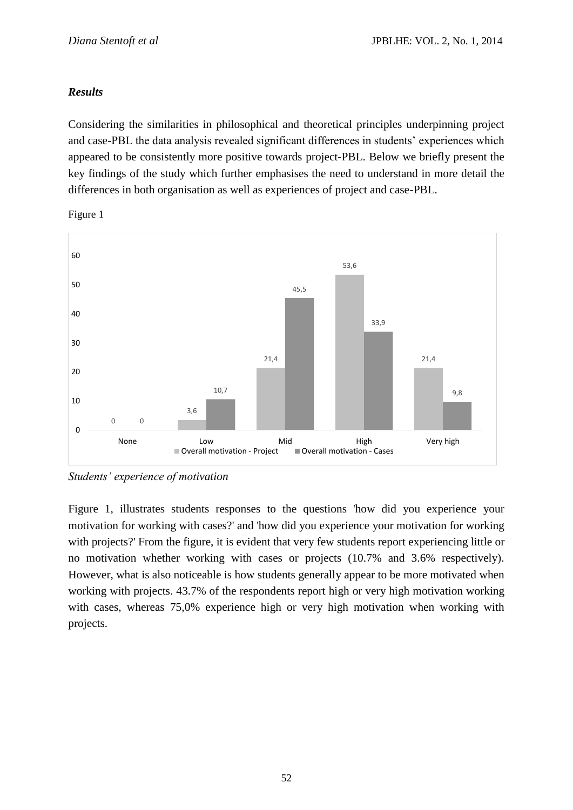## *Results*

Considering the similarities in philosophical and theoretical principles underpinning project and case-PBL the data analysis revealed significant differences in students' experiences which appeared to be consistently more positive towards project-PBL. Below we briefly present the key findings of the study which further emphasises the need to understand in more detail the differences in both organisation as well as experiences of project and case-PBL.



Figure 1

*Students' experience of motivation*

Figure 1, illustrates students responses to the questions 'how did you experience your motivation for working with cases?' and 'how did you experience your motivation for working with projects?' From the figure, it is evident that very few students report experiencing little or no motivation whether working with cases or projects (10.7% and 3.6% respectively). However, what is also noticeable is how students generally appear to be more motivated when working with projects. 43.7% of the respondents report high or very high motivation working with cases, whereas 75,0% experience high or very high motivation when working with projects.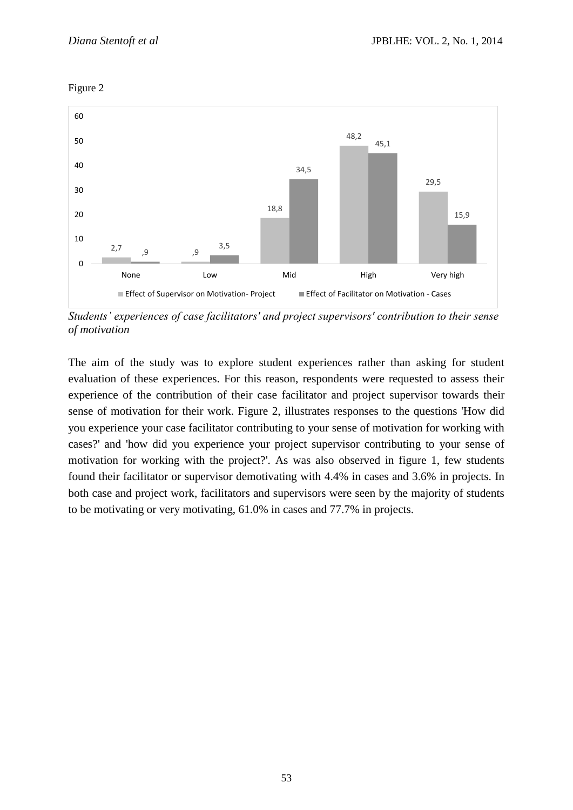



*Students' experiences of case facilitators' and project supervisors' contribution to their sense of motivation* 

The aim of the study was to explore student experiences rather than asking for student evaluation of these experiences. For this reason, respondents were requested to assess their experience of the contribution of their case facilitator and project supervisor towards their sense of motivation for their work. Figure 2, illustrates responses to the questions 'How did you experience your case facilitator contributing to your sense of motivation for working with cases?' and 'how did you experience your project supervisor contributing to your sense of motivation for working with the project?'. As was also observed in figure 1, few students found their facilitator or supervisor demotivating with 4.4% in cases and 3.6% in projects. In both case and project work, facilitators and supervisors were seen by the majority of students to be motivating or very motivating, 61.0% in cases and 77.7% in projects.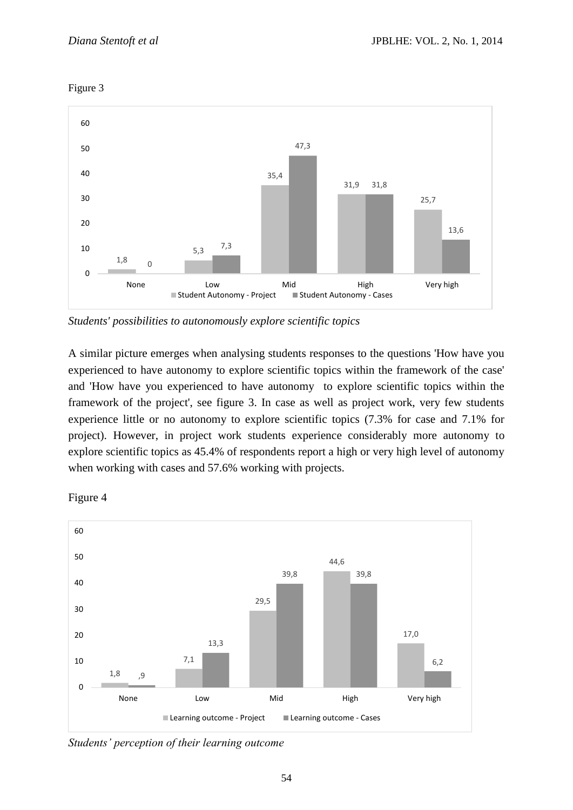



*Students' possibilities to autonomously explore scientific topics*

A similar picture emerges when analysing students responses to the questions 'How have you experienced to have autonomy to explore scientific topics within the framework of the case' and 'How have you experienced to have autonomy to explore scientific topics within the framework of the project', see figure 3. In case as well as project work, very few students experience little or no autonomy to explore scientific topics (7.3% for case and 7.1% for project). However, in project work students experience considerably more autonomy to explore scientific topics as 45.4% of respondents report a high or very high level of autonomy when working with cases and 57.6% working with projects.



Figure 4

*Students' perception of their learning outcome*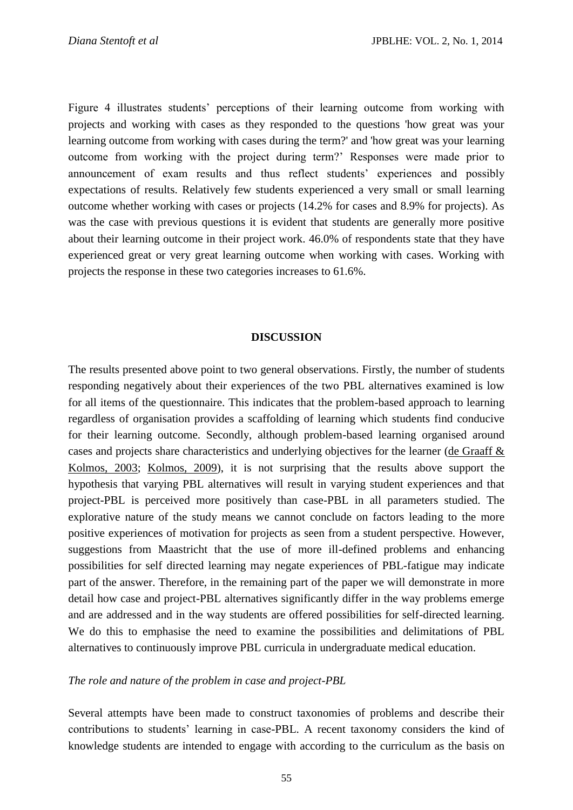Figure 4 illustrates students' perceptions of their learning outcome from working with projects and working with cases as they responded to the questions 'how great was your learning outcome from working with cases during the term?' and 'how great was your learning outcome from working with the project during term?' Responses were made prior to announcement of exam results and thus reflect students' experiences and possibly expectations of results. Relatively few students experienced a very small or small learning outcome whether working with cases or projects (14.2% for cases and 8.9% for projects). As was the case with previous questions it is evident that students are generally more positive about their learning outcome in their project work. 46.0% of respondents state that they have experienced great or very great learning outcome when working with cases. Working with projects the response in these two categories increases to 61.6%.

#### **DISCUSSION**

The results presented above point to two general observations. Firstly, the number of students responding negatively about their experiences of the two PBL alternatives examined is low for all items of the questionnaire. This indicates that the problem-based approach to learning regardless of organisation provides a scaffolding of learning which students find conducive for their learning outcome. Secondly, although problem-based learning organised around cases and projects share characteristics and underlying objectives for the learner [\(de Graaff &](file:///C:/Users/jba/AppData/Local/Microsoft/Windows/Temporary%20Internet%20Files/Content.IE5/US06KKC1/652-2961-1-CE.docx%23_ENREF_15)  [Kolmos, 2003;](file:///C:/Users/jba/AppData/Local/Microsoft/Windows/Temporary%20Internet%20Files/Content.IE5/US06KKC1/652-2961-1-CE.docx%23_ENREF_15) [Kolmos, 2009\)](file:///C:/Users/jba/AppData/Local/Microsoft/Windows/Temporary%20Internet%20Files/Content.IE5/US06KKC1/652-2961-1-CE.docx%23_ENREF_26), it is not surprising that the results above support the hypothesis that varying PBL alternatives will result in varying student experiences and that project-PBL is perceived more positively than case-PBL in all parameters studied. The explorative nature of the study means we cannot conclude on factors leading to the more positive experiences of motivation for projects as seen from a student perspective. However, suggestions from Maastricht that the use of more ill-defined problems and enhancing possibilities for self directed learning may negate experiences of PBL-fatigue may indicate part of the answer. Therefore, in the remaining part of the paper we will demonstrate in more detail how case and project-PBL alternatives significantly differ in the way problems emerge and are addressed and in the way students are offered possibilities for self-directed learning. We do this to emphasise the need to examine the possibilities and delimitations of PBL alternatives to continuously improve PBL curricula in undergraduate medical education.

#### *The role and nature of the problem in case and project-PBL*

Several attempts have been made to construct taxonomies of problems and describe their contributions to students' learning in case-PBL. A recent taxonomy considers the kind of knowledge students are intended to engage with according to the curriculum as the basis on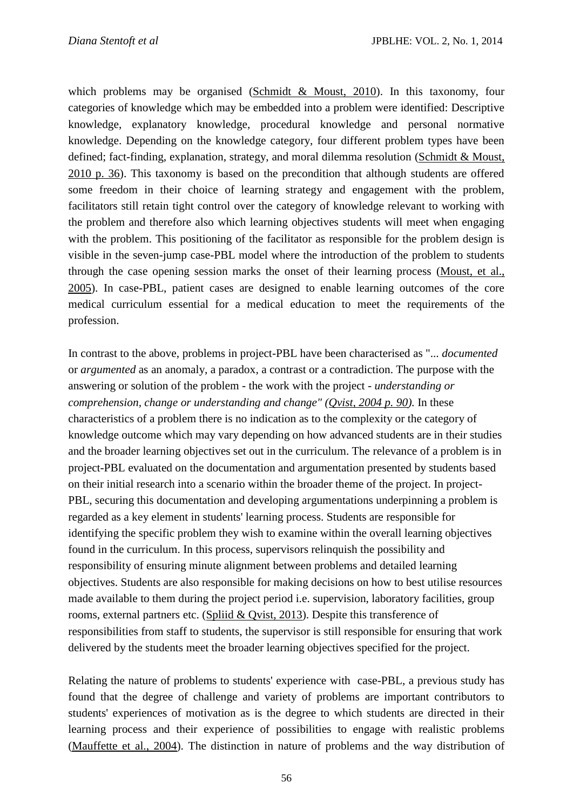which problems may be organised [\(Schmidt & Moust, 2010\)](file:///C:/Users/jba/AppData/Local/Microsoft/Windows/Temporary%20Internet%20Files/Content.IE5/US06KKC1/652-2961-1-CE.docx%23_ENREF_41). In this taxonomy, four categories of knowledge which may be embedded into a problem were identified: Descriptive knowledge, explanatory knowledge, procedural knowledge and personal normative knowledge. Depending on the knowledge category, four different problem types have been defined; fact-finding, explanation, strategy, and moral dilemma resolution [\(Schmidt & Moust,](file:///C:/Users/jba/AppData/Local/Microsoft/Windows/Temporary%20Internet%20Files/Content.IE5/US06KKC1/652-2961-1-CE.docx%23_ENREF_41)  [2010 p. 36\)](file:///C:/Users/jba/AppData/Local/Microsoft/Windows/Temporary%20Internet%20Files/Content.IE5/US06KKC1/652-2961-1-CE.docx%23_ENREF_41). This taxonomy is based on the precondition that although students are offered some freedom in their choice of learning strategy and engagement with the problem, facilitators still retain tight control over the category of knowledge relevant to working with the problem and therefore also which learning objectives students will meet when engaging with the problem. This positioning of the facilitator as responsible for the problem design is visible in the seven-jump case-PBL model where the introduction of the problem to students through the case opening session marks the onset of their learning process [\(Moust, et al.,](file:///C:/Users/jba/AppData/Local/Microsoft/Windows/Temporary%20Internet%20Files/Content.IE5/US06KKC1/652-2961-1-CE.docx%23_ENREF_35)  [2005\)](file:///C:/Users/jba/AppData/Local/Microsoft/Windows/Temporary%20Internet%20Files/Content.IE5/US06KKC1/652-2961-1-CE.docx%23_ENREF_35). In case-PBL, patient cases are designed to enable learning outcomes of the core medical curriculum essential for a medical education to meet the requirements of the profession.

In contrast to the above, problems in project-PBL have been characterised as "... *documented*  or *argumented* as an anomaly, a paradox, a contrast or a contradiction. The purpose with the answering or solution of the problem - the work with the project - *understanding or comprehension, change or understanding and change" [\(Qvist, 2004 p. 90\)](file:///C:/Users/jba/AppData/Local/Microsoft/Windows/Temporary%20Internet%20Files/Content.IE5/US06KKC1/652-2961-1-CE.docx%23_ENREF_37).* In these characteristics of a problem there is no indication as to the complexity or the category of knowledge outcome which may vary depending on how advanced students are in their studies and the broader learning objectives set out in the curriculum. The relevance of a problem is in project-PBL evaluated on the documentation and argumentation presented by students based on their initial research into a scenario within the broader theme of the project. In project-PBL, securing this documentation and developing argumentations underpinning a problem is regarded as a key element in students' learning process. Students are responsible for identifying the specific problem they wish to examine within the overall learning objectives found in the curriculum. In this process, supervisors relinquish the possibility and responsibility of ensuring minute alignment between problems and detailed learning objectives. Students are also responsible for making decisions on how to best utilise resources made available to them during the project period i.e. supervision, laboratory facilities, group rooms, external partners etc. [\(Spliid & Qvist, 2013\)](file:///C:/Users/jba/AppData/Local/Microsoft/Windows/Temporary%20Internet%20Files/Content.IE5/US06KKC1/652-2961-1-CE.docx%23_ENREF_44). Despite this transference of responsibilities from staff to students, the supervisor is still responsible for ensuring that work delivered by the students meet the broader learning objectives specified for the project.

Relating the nature of problems to students' experience with case-PBL, a previous study has found that the degree of challenge and variety of problems are important contributors to students' experiences of motivation as is the degree to which students are directed in their learning process and their experience of possibilities to engage with realistic problems [\(Mauffette et al., 2004\)](file:///C:/Users/jba/AppData/Local/Microsoft/Windows/Temporary%20Internet%20Files/Content.IE5/US06KKC1/652-2961-1-CE.docx%23_ENREF_33). The distinction in nature of problems and the way distribution of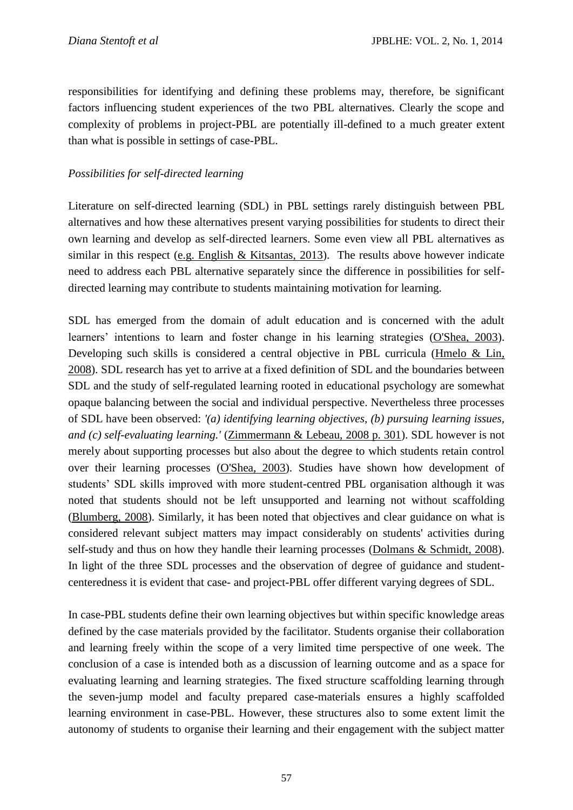responsibilities for identifying and defining these problems may, therefore, be significant factors influencing student experiences of the two PBL alternatives. Clearly the scope and complexity of problems in project-PBL are potentially ill-defined to a much greater extent than what is possible in settings of case-PBL.

## *Possibilities for self-directed learning*

Literature on self-directed learning (SDL) in PBL settings rarely distinguish between PBL alternatives and how these alternatives present varying possibilities for students to direct their own learning and develop as self-directed learners. Some even view all PBL alternatives as similar in this respect [\(e.g. English & Kitsantas, 2013\)](file:///C:/Users/jba/AppData/Local/Microsoft/Windows/Temporary%20Internet%20Files/Content.IE5/US06KKC1/652-2961-1-CE.docx%23_ENREF_19). The results above however indicate need to address each PBL alternative separately since the difference in possibilities for selfdirected learning may contribute to students maintaining motivation for learning.

SDL has emerged from the domain of adult education and is concerned with the adult learners' intentions to learn and foster change in his learning strategies [\(O'Shea, 2003\)](file:///C:/Users/jba/AppData/Local/Microsoft/Windows/Temporary%20Internet%20Files/Content.IE5/US06KKC1/652-2961-1-CE.docx%23_ENREF_36). Developing such skills is considered a central objective in PBL curricula (Hmelo & Lin, [2008\)](file:///C:/Users/jba/AppData/Local/Microsoft/Windows/Temporary%20Internet%20Files/Content.IE5/US06KKC1/652-2961-1-CE.docx%23_ENREF_24). SDL research has yet to arrive at a fixed definition of SDL and the boundaries between SDL and the study of self-regulated learning rooted in educational psychology are somewhat opaque balancing between the social and individual perspective. Nevertheless three processes of SDL have been observed: *'(a) identifying learning objectives, (b) pursuing learning issues, and (c) self-evaluating learning.'* [\(Zimmermann & Lebeau, 2008 p. 301\)](file:///C:/Users/jba/AppData/Local/Microsoft/Windows/Temporary%20Internet%20Files/Content.IE5/US06KKC1/652-2961-1-CE.docx%23_ENREF_47). SDL however is not merely about supporting processes but also about the degree to which students retain control over their learning processes [\(O'Shea, 2003\)](file:///C:/Users/jba/AppData/Local/Microsoft/Windows/Temporary%20Internet%20Files/Content.IE5/US06KKC1/652-2961-1-CE.docx%23_ENREF_36). Studies have shown how development of students' SDL skills improved with more student-centred PBL organisation although it was noted that students should not be left unsupported and learning not without scaffolding [\(Blumberg, 2008\)](file:///C:/Users/jba/AppData/Local/Microsoft/Windows/Temporary%20Internet%20Files/Content.IE5/US06KKC1/652-2961-1-CE.docx%23_ENREF_8). Similarly, it has been noted that objectives and clear guidance on what is considered relevant subject matters may impact considerably on students' activities during self-study and thus on how they handle their learning processes [\(Dolmans & Schmidt, 2008\)](file:///C:/Users/jba/AppData/Local/Microsoft/Windows/Temporary%20Internet%20Files/Content.IE5/US06KKC1/652-2961-1-CE.docx%23_ENREF_17). In light of the three SDL processes and the observation of degree of guidance and studentcenteredness it is evident that case- and project-PBL offer different varying degrees of SDL.

In case-PBL students define their own learning objectives but within specific knowledge areas defined by the case materials provided by the facilitator. Students organise their collaboration and learning freely within the scope of a very limited time perspective of one week. The conclusion of a case is intended both as a discussion of learning outcome and as a space for evaluating learning and learning strategies. The fixed structure scaffolding learning through the seven-jump model and faculty prepared case-materials ensures a highly scaffolded learning environment in case-PBL. However, these structures also to some extent limit the autonomy of students to organise their learning and their engagement with the subject matter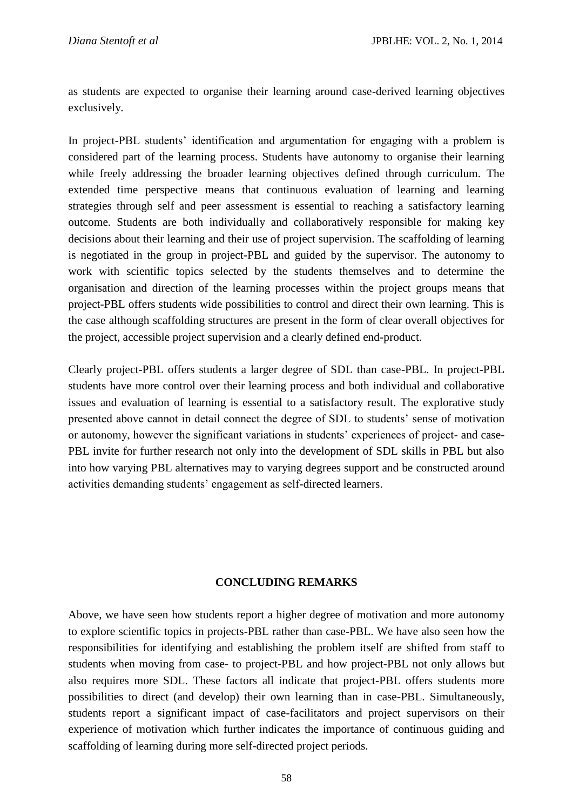as students are expected to organise their learning around case-derived learning objectives exclusively.

In project-PBL students' identification and argumentation for engaging with a problem is considered part of the learning process. Students have autonomy to organise their learning while freely addressing the broader learning objectives defined through curriculum. The extended time perspective means that continuous evaluation of learning and learning strategies through self and peer assessment is essential to reaching a satisfactory learning outcome. Students are both individually and collaboratively responsible for making key decisions about their learning and their use of project supervision. The scaffolding of learning is negotiated in the group in project-PBL and guided by the supervisor. The autonomy to work with scientific topics selected by the students themselves and to determine the organisation and direction of the learning processes within the project groups means that project-PBL offers students wide possibilities to control and direct their own learning. This is the case although scaffolding structures are present in the form of clear overall objectives for the project, accessible project supervision and a clearly defined end-product.

Clearly project-PBL offers students a larger degree of SDL than case-PBL. In project-PBL students have more control over their learning process and both individual and collaborative issues and evaluation of learning is essential to a satisfactory result. The explorative study presented above cannot in detail connect the degree of SDL to students' sense of motivation or autonomy, however the significant variations in students' experiences of project- and case-PBL invite for further research not only into the development of SDL skills in PBL but also into how varying PBL alternatives may to varying degrees support and be constructed around activities demanding students' engagement as self-directed learners.

### **CONCLUDING REMARKS**

Above, we have seen how students report a higher degree of motivation and more autonomy to explore scientific topics in projects-PBL rather than case-PBL. We have also seen how the responsibilities for identifying and establishing the problem itself are shifted from staff to students when moving from case- to project-PBL and how project-PBL not only allows but also requires more SDL. These factors all indicate that project-PBL offers students more possibilities to direct (and develop) their own learning than in case-PBL. Simultaneously, students report a significant impact of case-facilitators and project supervisors on their experience of motivation which further indicates the importance of continuous guiding and scaffolding of learning during more self-directed project periods.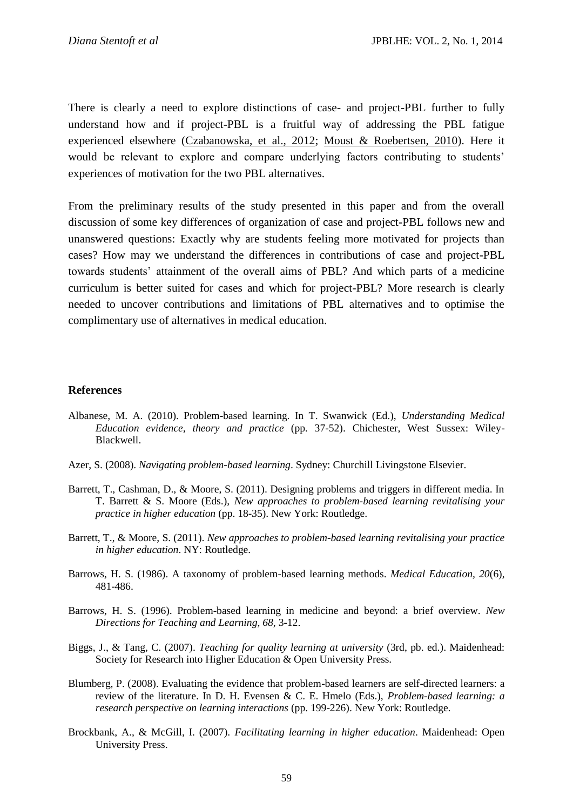There is clearly a need to explore distinctions of case- and project-PBL further to fully understand how and if project-PBL is a fruitful way of addressing the PBL fatigue experienced elsewhere [\(Czabanowska, et al., 2012;](file:///C:/Users/jba/AppData/Local/Microsoft/Windows/Temporary%20Internet%20Files/Content.IE5/US06KKC1/652-2961-1-CE.docx%23_ENREF_12) [Moust & Roebertsen, 2010\)](file:///C:/Users/jba/AppData/Local/Microsoft/Windows/Temporary%20Internet%20Files/Content.IE5/US06KKC1/652-2961-1-CE.docx%23_ENREF_34). Here it would be relevant to explore and compare underlying factors contributing to students' experiences of motivation for the two PBL alternatives.

From the preliminary results of the study presented in this paper and from the overall discussion of some key differences of organization of case and project-PBL follows new and unanswered questions: Exactly why are students feeling more motivated for projects than cases? How may we understand the differences in contributions of case and project-PBL towards students' attainment of the overall aims of PBL? And which parts of a medicine curriculum is better suited for cases and which for project-PBL? More research is clearly needed to uncover contributions and limitations of PBL alternatives and to optimise the complimentary use of alternatives in medical education.

#### **References**

- Albanese, M. A. (2010). Problem-based learning. In T. Swanwick (Ed.), *Understanding Medical Education evidence, theory and practice* (pp. 37-52). Chichester, West Sussex: Wiley-Blackwell.
- Azer, S. (2008). *Navigating problem-based learning*. Sydney: Churchill Livingstone Elsevier.
- Barrett, T., Cashman, D., & Moore, S. (2011). Designing problems and triggers in different media. In T. Barrett & S. Moore (Eds.), *New approaches to problem-based learning revitalising your practice in higher education* (pp. 18-35). New York: Routledge.
- Barrett, T., & Moore, S. (2011). *New approaches to problem-based learning revitalising your practice in higher education*. NY: Routledge.
- Barrows, H. S. (1986). A taxonomy of problem-based learning methods. *Medical Education, 20*(6), 481-486.
- Barrows, H. S. (1996). Problem-based learning in medicine and beyond: a brief overview. *New Directions for Teaching and Learning, 68*, 3-12.
- Biggs, J., & Tang, C. (2007). *Teaching for quality learning at university* (3rd, pb. ed.). Maidenhead: Society for Research into Higher Education & Open University Press.
- Blumberg, P. (2008). Evaluating the evidence that problem-based learners are self-directed learners: a review of the literature. In D. H. Evensen & C. E. Hmelo (Eds.), *Problem-based learning: a research perspective on learning interactions* (pp. 199-226). New York: Routledge.
- Brockbank, A., & McGill, I. (2007). *Facilitating learning in higher education*. Maidenhead: Open University Press.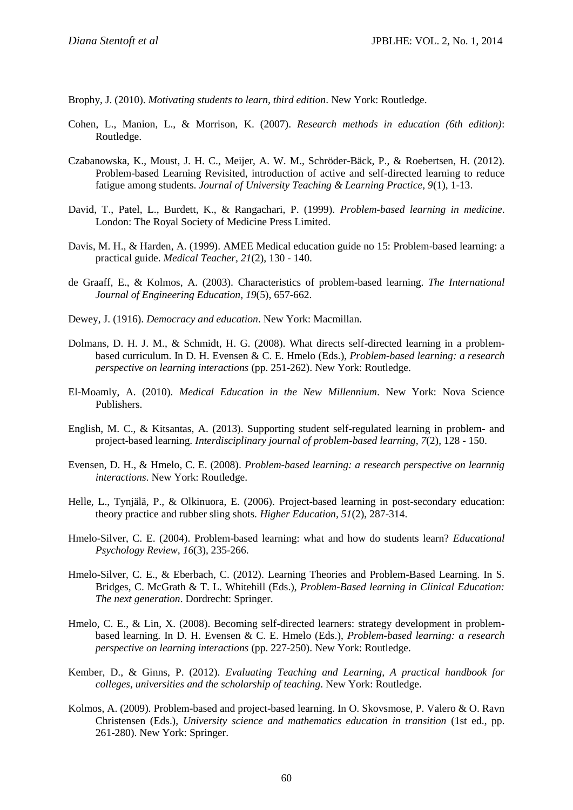Brophy, J. (2010). *Motivating students to learn, third edition*. New York: Routledge.

- Cohen, L., Manion, L., & Morrison, K. (2007). *Research methods in education (6th edition)*: Routledge.
- Czabanowska, K., Moust, J. H. C., Meijer, A. W. M., Schröder-Bäck, P., & Roebertsen, H. (2012). Problem-based Learning Revisited, introduction of active and self-directed learning to reduce fatigue among students. *Journal of University Teaching & Learning Practice, 9*(1), 1-13.
- David, T., Patel, L., Burdett, K., & Rangachari, P. (1999). *Problem-based learning in medicine*. London: The Royal Society of Medicine Press Limited.
- Davis, M. H., & Harden, A. (1999). AMEE Medical education guide no 15: Problem-based learning: a practical guide. *Medical Teacher, 21*(2), 130 - 140.
- de Graaff, E., & Kolmos, A. (2003). Characteristics of problem-based learning. *The International Journal of Engineering Education, 19*(5), 657-662.
- Dewey, J. (1916). *Democracy and education*. New York: Macmillan.
- Dolmans, D. H. J. M., & Schmidt, H. G. (2008). What directs self-directed learning in a problembased curriculum. In D. H. Evensen & C. E. Hmelo (Eds.), *Problem-based learning: a research perspective on learning interactions* (pp. 251-262). New York: Routledge.
- El-Moamly, A. (2010). *Medical Education in the New Millennium*. New York: Nova Science Publishers.
- English, M. C., & Kitsantas, A. (2013). Supporting student self-regulated learning in problem- and project-based learning. *Interdisciplinary journal of problem-based learning, 7*(2), 128 - 150.
- Evensen, D. H., & Hmelo, C. E. (2008). *Problem-based learning: a research perspective on learnnig interactions*. New York: Routledge.
- Helle, L., Tynjälä, P., & Olkinuora, E. (2006). Project-based learning in post-secondary education: theory practice and rubber sling shots. *Higher Education, 51*(2), 287-314.
- Hmelo-Silver, C. E. (2004). Problem-based learning: what and how do students learn? *Educational Psychology Review, 16*(3), 235-266.
- Hmelo-Silver, C. E., & Eberbach, C. (2012). Learning Theories and Problem-Based Learning. In S. Bridges, C. McGrath & T. L. Whitehill (Eds.), *Problem-Based learning in Clinical Education: The next generation*. Dordrecht: Springer.
- Hmelo, C. E., & Lin, X. (2008). Becoming self-directed learners: strategy development in problembased learning. In D. H. Evensen & C. E. Hmelo (Eds.), *Problem-based learning: a research perspective on learning interactions* (pp. 227-250). New York: Routledge.
- Kember, D., & Ginns, P. (2012). *Evaluating Teaching and Learning, A practical handbook for colleges, universities and the scholarship of teaching*. New York: Routledge.
- Kolmos, A. (2009). Problem-based and project-based learning. In O. Skovsmose, P. Valero & O. Ravn Christensen (Eds.), *University science and mathematics education in transition* (1st ed., pp. 261-280). New York: Springer.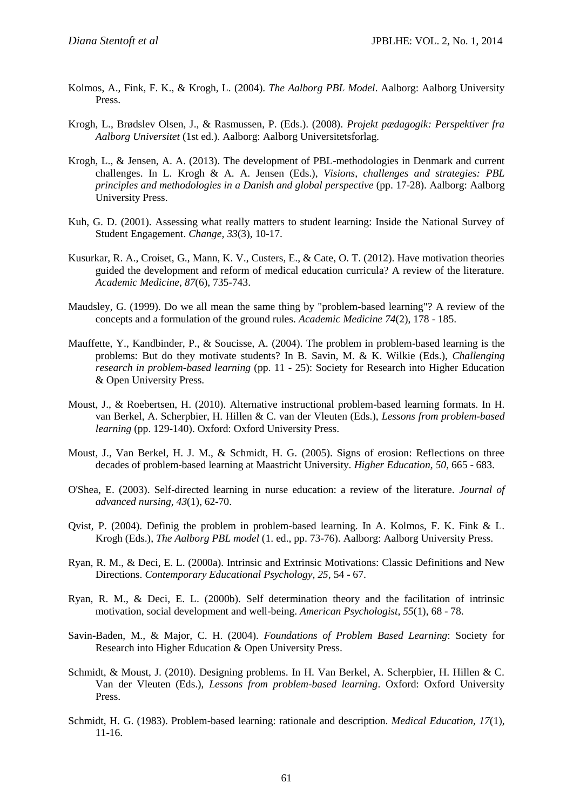- Kolmos, A., Fink, F. K., & Krogh, L. (2004). *The Aalborg PBL Model*. Aalborg: Aalborg University Press.
- Krogh, L., Brødslev Olsen, J., & Rasmussen, P. (Eds.). (2008). *Projekt pædagogik: Perspektiver fra Aalborg Universitet* (1st ed.). Aalborg: Aalborg Universitetsforlag.
- Krogh, L., & Jensen, A. A. (2013). The development of PBL-methodologies in Denmark and current challenges. In L. Krogh & A. A. Jensen (Eds.), *Visions, challenges and strategies: PBL principles and methodologies in a Danish and global perspective* (pp. 17-28). Aalborg: Aalborg University Press.
- Kuh, G. D. (2001). Assessing what really matters to student learning: Inside the National Survey of Student Engagement. *Change, 33*(3), 10-17.
- Kusurkar, R. A., Croiset, G., Mann, K. V., Custers, E., & Cate, O. T. (2012). Have motivation theories guided the development and reform of medical education curricula? A review of the literature. *Academic Medicine, 87*(6), 735-743.
- Maudsley, G. (1999). Do we all mean the same thing by "problem-based learning"? A review of the concepts and a formulation of the ground rules. *Academic Medicine 74*(2), 178 - 185.
- Mauffette, Y., Kandbinder, P., & Soucisse, A. (2004). The problem in problem-based learning is the problems: But do they motivate students? In B. Savin, M. & K. Wilkie (Eds.), *Challenging research in problem-based learning* (pp. 11 - 25): Society for Research into Higher Education & Open University Press.
- Moust, J., & Roebertsen, H. (2010). Alternative instructional problem-based learning formats. In H. van Berkel, A. Scherpbier, H. Hillen & C. van der Vleuten (Eds.), *Lessons from problem-based learning* (pp. 129-140). Oxford: Oxford University Press.
- Moust, J., Van Berkel, H. J. M., & Schmidt, H. G. (2005). Signs of erosion: Reflections on three decades of problem-based learning at Maastricht University. *Higher Education, 50*, 665 - 683.
- O'Shea, E. (2003). Self-directed learning in nurse education: a review of the literature. *Journal of advanced nursing, 43*(1), 62-70.
- Qvist, P. (2004). Definig the problem in problem-based learning. In A. Kolmos, F. K. Fink & L. Krogh (Eds.), *The Aalborg PBL model* (1. ed., pp. 73-76). Aalborg: Aalborg University Press.
- Ryan, R. M., & Deci, E. L. (2000a). Intrinsic and Extrinsic Motivations: Classic Definitions and New Directions. *Contemporary Educational Psychology, 25*, 54 - 67.
- Ryan, R. M., & Deci, E. L. (2000b). Self determination theory and the facilitation of intrinsic motivation, social development and well-being. *American Psychologist, 55*(1), 68 - 78.
- Savin-Baden, M., & Major, C. H. (2004). *Foundations of Problem Based Learning*: Society for Research into Higher Education & Open University Press.
- Schmidt, & Moust, J. (2010). Designing problems. In H. Van Berkel, A. Scherpbier, H. Hillen & C. Van der Vleuten (Eds.), *Lessons from problem-based learning*. Oxford: Oxford University Press.
- Schmidt, H. G. (1983). Problem-based learning: rationale and description. *Medical Education, 17*(1), 11-16.